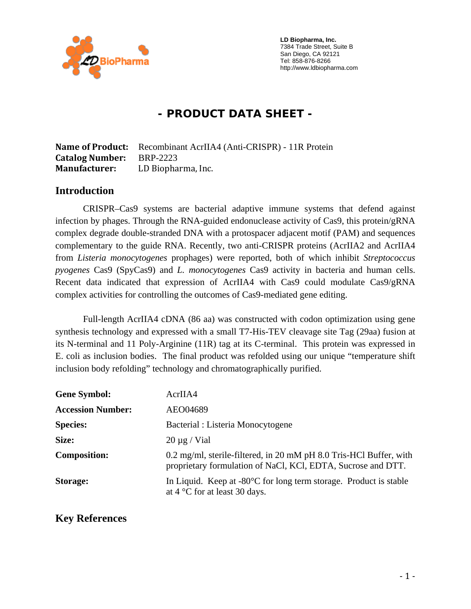

 **LD Biopharma, Inc.**  7384 Trade Street, Suite B San Diego, CA 92121 Tel: 858-876-8266 http://www.ldbiopharma.com

# **- PRODUCT DATA SHEET -**

**Name of Product:** Recombinant AcrIIA4 (Anti-CRISPR) - 11R Protein **Catalog Number:** BRP-2223 **Manufacturer:** LD Biopharma, Inc.

#### **Introduction**

CRISPR–Cas9 systems are bacterial adaptive immune systems that defend against infection by phages. Through the RNA-guided endonuclease activity of Cas9, this protein/gRNA complex degrade double-stranded DNA with a protospacer adjacent motif (PAM) and sequences complementary to the guide RNA. Recently, two anti-CRISPR proteins (AcrIIA2 and AcrIIA4 from *Listeria monocytogenes* prophages) were reported, both of which inhibit *Streptococcus pyogenes* Cas9 (SpyCas9) and *L. monocytogenes* Cas9 activity in bacteria and human cells. Recent data indicated that expression of AcrIIA4 with Cas9 could modulate Cas9/gRNA complex activities for controlling the outcomes of Cas9-mediated gene editing.

Full-length AcrIIA4 cDNA (86 aa) was constructed with codon optimization using gene synthesis technology and expressed with a small T7-His-TEV cleavage site Tag (29aa) fusion at its N-terminal and 11 Poly-Arginine (11R) tag at its C-terminal. This protein was expressed in E. coli as inclusion bodies. The final product was refolded using our unique "temperature shift inclusion body refolding" technology and chromatographically purified.

| <b>Gene Symbol:</b>      | AcrIIA4                                                                                                                            |
|--------------------------|------------------------------------------------------------------------------------------------------------------------------------|
| <b>Accession Number:</b> | AEO04689                                                                                                                           |
| <b>Species:</b>          | Bacterial : Listeria Monocytogene                                                                                                  |
| Size:                    | $20 \mu g$ / Vial                                                                                                                  |
| <b>Composition:</b>      | 0.2 mg/ml, sterile-filtered, in 20 mM pH 8.0 Tris-HCl Buffer, with<br>proprietary formulation of NaCl, KCl, EDTA, Sucrose and DTT. |
| <b>Storage:</b>          | In Liquid. Keep at $-80^{\circ}$ C for long term storage. Product is stable<br>at $4^{\circ}$ C for at least 30 days.              |

### **Key References**